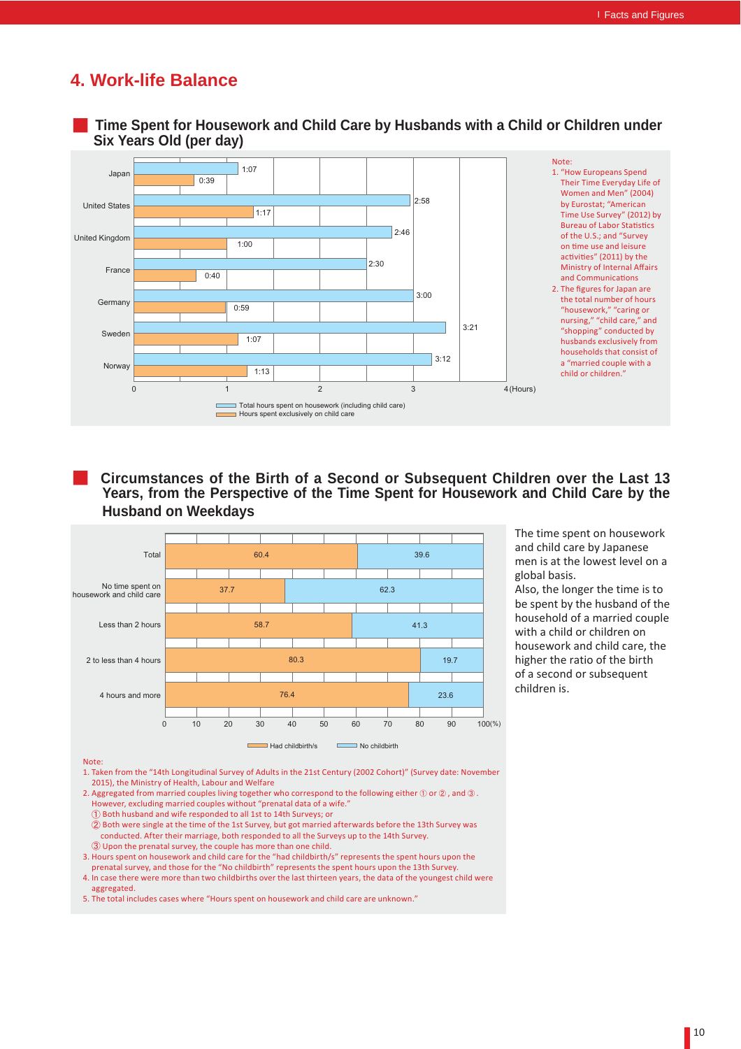## **4. Work-life Balance**



ڦ **Circumstances of the Birth of a Second or Subsequent Children over the Last 13 Years, from the Perspective of the Time Spent for Housework and Child Care by the Husband on Weekdays**



The time spent on housework and child care by Japanese men is at the lowest level on a global basis.

Also, the longer the time is to be spent by the husband of the household of a married couple with a child or children on housework and child care, the higher the ratio of the birth of a second or subsequent children is.

Note:

1. Taken from the "14th Longitudinal Survey of Adults in the 21st Century (2002 Cohort)" (Survey date: November 2015), the Ministry of Health, Labour and Welfare

- 2. Aggregated from married couples living together who correspond to the following either  $\mathbb O$  or  $\mathbb Q$  , and  $\mathbb Q$  . However, excluding married couples without "prenatal data of a wife."
- ձ Both husband and wife responded to all 1st to 14th Surveys; or
- $Q$  Both were single at the time of the 1st Survey, but got married afterwards before the 13th Survey was conducted. After their marriage, both responded to all the Surveys up to the 14th Survey. **(3) Upon the prenatal survey, the couple has more than one child.**

3. Hours spent on housework and child care for the "had childbirth/s" represents the spent hours upon the prenatal survey, and those for the "No childbirth" represents the spent hours upon the 13th Survey.

4. In case there were more than two childbirths over the last thirteen years, the data of the youngest child were aggregated.

5. The total includes cases where "Hours spent on housework and child care are unknown."